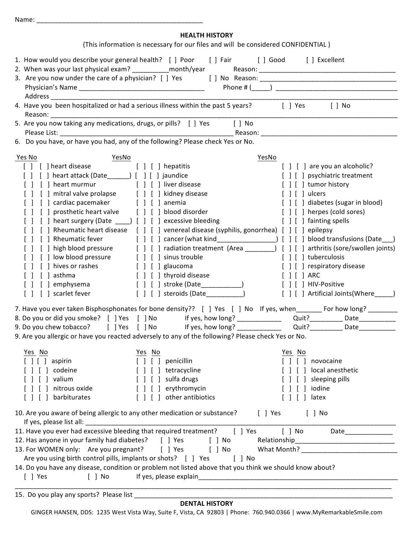| <b>HEALTH HISTORY</b><br>(This information is necessary for our files and will be considered CONFIDENTIAL)                                                                                                                                                                                                                                                                                                                                                                                                                                                                                                                                                                                                                                                                                                       |                                                                                                                                                                                                                                                                                                                                                     |  |
|------------------------------------------------------------------------------------------------------------------------------------------------------------------------------------------------------------------------------------------------------------------------------------------------------------------------------------------------------------------------------------------------------------------------------------------------------------------------------------------------------------------------------------------------------------------------------------------------------------------------------------------------------------------------------------------------------------------------------------------------------------------------------------------------------------------|-----------------------------------------------------------------------------------------------------------------------------------------------------------------------------------------------------------------------------------------------------------------------------------------------------------------------------------------------------|--|
| 1. How would you describe your general health? [ ] Poor [ ] Fair [ ] Good [ ] Excellent                                                                                                                                                                                                                                                                                                                                                                                                                                                                                                                                                                                                                                                                                                                          |                                                                                                                                                                                                                                                                                                                                                     |  |
| 4. Have you been hospitalized or had a serious illness within the past 5 years? [ ] Yes<br>$[$ $]$ No<br>5. Are you now taking any medications, drugs, or pills? [ ] Yes [ ] No<br>6. Do you have, or have you had, any of the following? Please check Yes or No.                                                                                                                                                                                                                                                                                                                                                                                                                                                                                                                                                |                                                                                                                                                                                                                                                                                                                                                     |  |
| Yes No<br>YesNo<br>YesNo<br>[ ] [ ] heart disease [ ] [ ] hepatitis<br>[ ] [ ] heart murmur [ ] [ ] liver disease<br>[ ] [ ] mitral valve prolapse [ ] [ ] kidney disease<br>[ ] [ ] cardiac pacemaker [ ] [ ] anemia<br>[ ] [ ] prosthetic heart valve [ ] [ ] blood disorder<br>[ ] [ ] heart surgery (Date _____) [ ] [ ] excessive bleeding<br>[ ] Rheumatic heart disease [ ] [ ] venereal disease (syphilis, gonorrhea) [ ] [ ] epilepsy<br>[ ] high blood pressure [ ] [ ] radiation treatment (Area ________) [ ] [ ] arthritis (sore/swollen joints)<br>[ ] [ ] low blood pressure [ ] [ ] sinus trouble<br>[ ] [ ] hives or rashes<br>$[ ] [ ]$ glaucoma<br>$[ ] [ ]$ asthma<br>[ ] [ ] thyroid disease<br>[ ] [ ] stroke (Date____________)<br>[ ] [ ] emphysema<br>[ ] scarlet fever<br>$\mathbf{L}$ | [ ] [ ] are you an alcoholic?<br>[ ] [ ] psychiatric treatment<br>[ ] [ ] tumor history<br>$[ ] [ ]$ ulcers<br>[ ] [ ] diabetes (sugar in blood)<br>[ ] [ ] herpes (cold sores)<br>[ ] [ ] fainting spells<br>[ ] [ ] tuberculosis<br>[ ] [ ] respiratory disease<br>$[ ] [ ]$ ARC<br>[ ] [ ] HIV-Positive<br>[ ] [ ] Artificial Joints(Where_____) |  |
| 7. Have you ever taken Bisphosphonates for bone density?? [ ] Yes [ ] No If yes, when_______ For how long? ________<br>9. Are you allergic or have you reacted adversely to any of the following? Please check Yes or No.                                                                                                                                                                                                                                                                                                                                                                                                                                                                                                                                                                                        |                                                                                                                                                                                                                                                                                                                                                     |  |
| Yes No<br>Yes No<br>$[ ] [ ]$ aspirin<br>$[ ] [ ]$ penicillin<br>[ ] [ ] tetracycline<br>[ ] codeine<br>[ ] valium<br>sulfa drugs<br>[ ] [ ] erythromycin<br>nitrous oxide<br>[ ] [ ] other antibiotics<br>[ ] barbiturates                                                                                                                                                                                                                                                                                                                                                                                                                                                                                                                                                                                      | Yes No<br>$\begin{array}{c} \hline \end{array} \begin{array}{c} \hline \end{array}$<br>novocaine<br>local anesthetic<br>sleeping pills<br>iodine<br>$\lceil$ $\rfloor$ latex                                                                                                                                                                        |  |
| 10. Are you aware of being allergic to any other medication or substance? [ ] Yes<br>If yes, please list all: [16] and the same state of the state of the state of the state of the state of the state of the state of the state of the state of the state of the state of the state of the state of the state of t<br>11. Have you ever had excessive bleeding that required treatment? [ ] Yes<br>12. Has anyone in your family had diabetes? [ ] Yes [ ] No<br>13. For WOMEN only: Are you pregnant? [ ] Yes [ ] No What Month? _______________________<br>Are you using birth control pills, implants or shots? [ ] Yes [ ] No<br>14. Do you have any disease, condition or problem not listed above that you think we should know about?<br>$[$ ] Yes<br>$[$ $]$ No                                         | $[$ $]$ No<br>[ ] No Date____________                                                                                                                                                                                                                                                                                                               |  |

15. Do you play any sports? Please list

Name: \_\_\_\_\_\_\_\_\_\_\_\_\_\_\_\_\_\_\_\_\_\_\_\_\_\_\_\_\_\_\_\_\_\_\_\_\_\_\_\_\_\_\_\_\_

## **DENTAL HISTORY**

GINGER HANSEN, DDS: 1235 West Vista Way, Suite F, Vista, CA 92803 | Phone: 760.940.0366 | www.MyRemarkableSmile.com